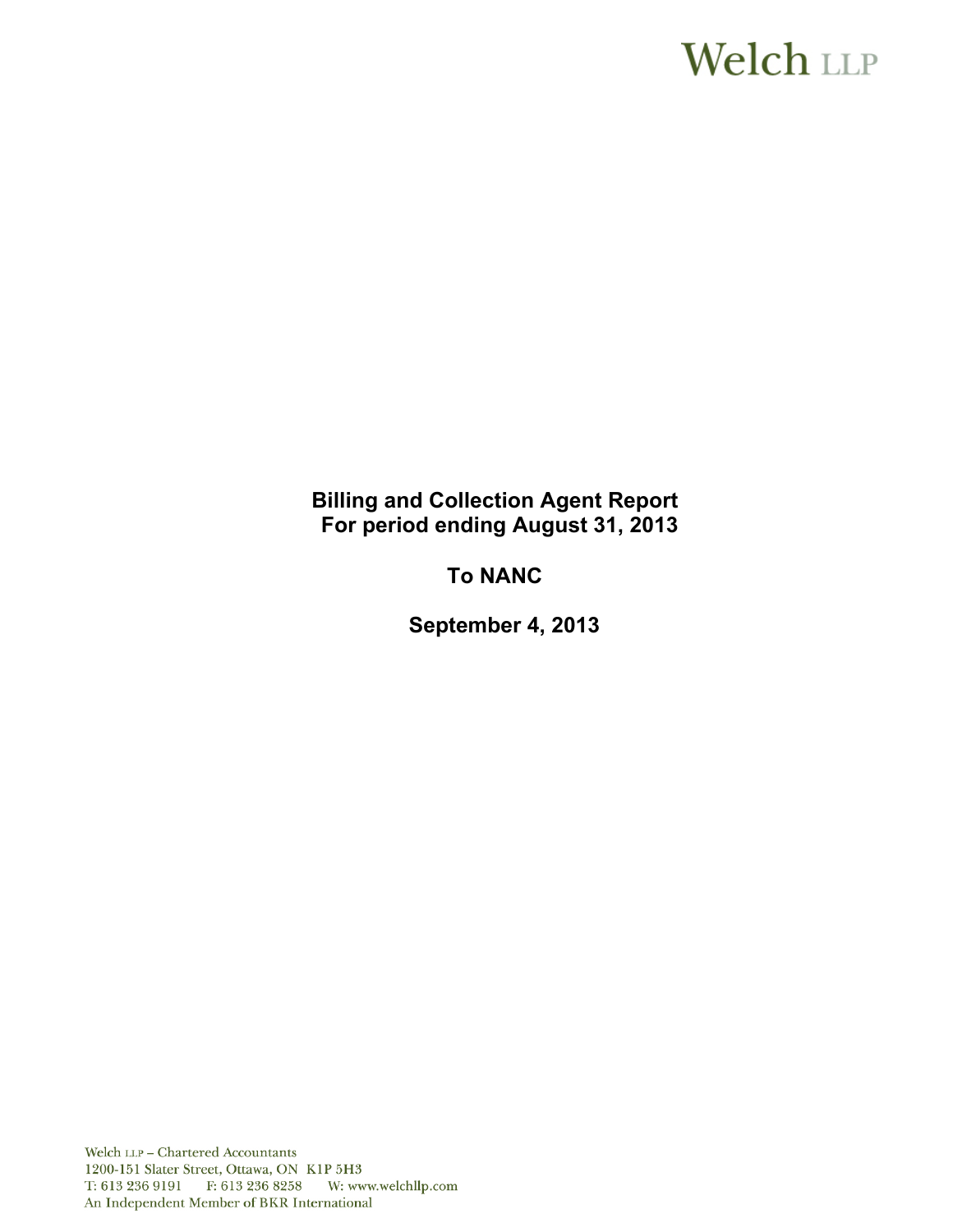# **Welch LLP**

**Billing and Collection Agent Report For period ending August 31, 2013** 

**To NANC** 

**September 4, 2013**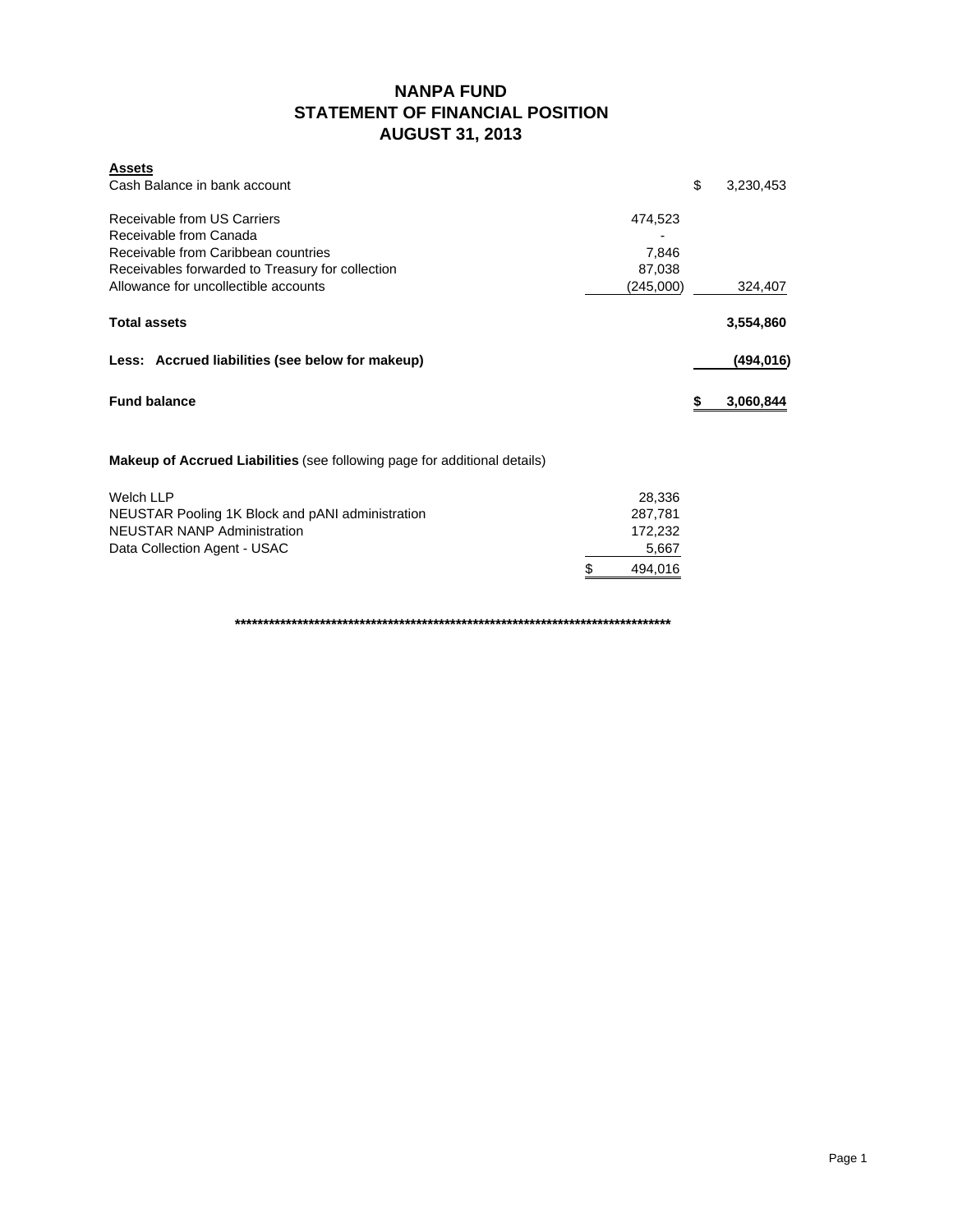### **NANPA FUND STATEMENT OF FINANCIAL POSITION AUGUST 31, 2013**

| <b>Assets</b><br>Cash Balance in bank account                             | \$        | 3,230,453  |
|---------------------------------------------------------------------------|-----------|------------|
| Receivable from US Carriers                                               | 474,523   |            |
| Receivable from Canada                                                    |           |            |
| Receivable from Caribbean countries                                       | 7,846     |            |
| Receivables forwarded to Treasury for collection                          | 87,038    |            |
| Allowance for uncollectible accounts                                      | (245,000) | 324,407    |
| <b>Total assets</b>                                                       |           | 3,554,860  |
| Less: Accrued liabilities (see below for makeup)                          |           | (494, 016) |
| <b>Fund balance</b>                                                       | S         | 3,060,844  |
| Makeup of Accrued Liabilities (see following page for additional details) |           |            |
| <b>Welch LLP</b>                                                          | 28,336    |            |
| NELICTAD Dooling 1K Plack and nANI administration                         | 707 701   |            |

| NEUSTAR Pooling 1K Block and pANI administration | 287.781 |
|--------------------------------------------------|---------|
| <b>NEUSTAR NANP Administration</b>               | 172.232 |
| Data Collection Agent - USAC                     | 5,667   |
|                                                  | 494.016 |

**\*\*\*\*\*\*\*\*\*\*\*\*\*\*\*\*\*\*\*\*\*\*\*\*\*\*\*\*\*\*\*\*\*\*\*\*\*\*\*\*\*\*\*\*\*\*\*\*\*\*\*\*\*\*\*\*\*\*\*\*\*\*\*\*\*\*\*\*\*\*\*\*\*\*\*\*\***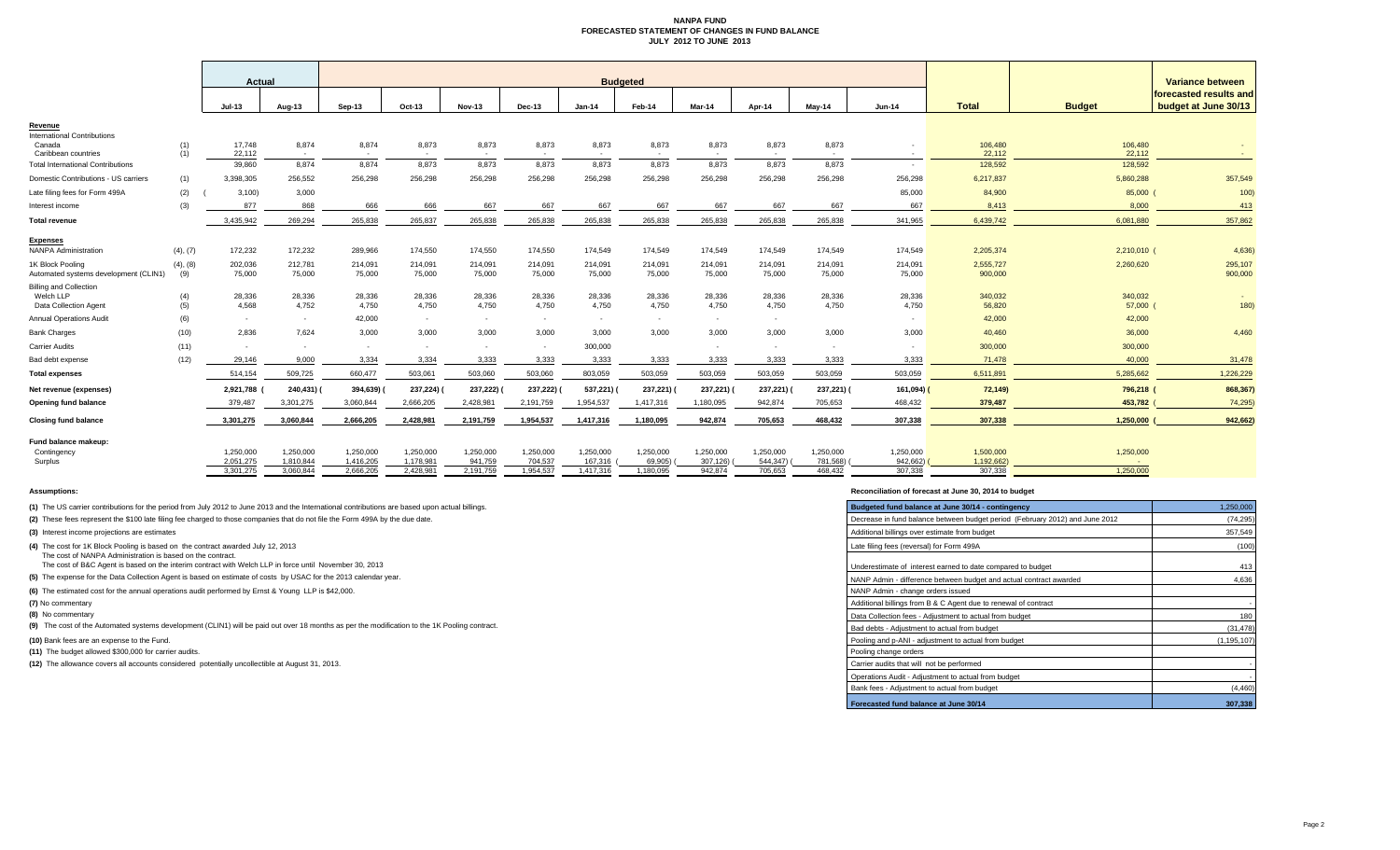#### **NANPA FUND FORECASTED STATEMENT OF CHANGES IN FUND BALANCE JULY 2012 TO JUNE 2013**

|                                                                     |                 | Actual                 |                        |                        |                          |                      |                      |                      | <b>Budgeted</b>      |                       |                          |                          |                       |                         |                     | Variance between                               |  |
|---------------------------------------------------------------------|-----------------|------------------------|------------------------|------------------------|--------------------------|----------------------|----------------------|----------------------|----------------------|-----------------------|--------------------------|--------------------------|-----------------------|-------------------------|---------------------|------------------------------------------------|--|
|                                                                     |                 | Jul-13                 | Aug-13                 | Sep-13                 | Oct-13                   | Nov-13               | Dec-13               | $Jan-14$             | Feb-14               | Mar-14                | Apr-14                   | May-14                   | <b>Jun-14</b>         | <b>Total</b>            | <b>Budget</b>       | forecasted results and<br>budget at June 30/13 |  |
| Revenue<br><b>International Contributions</b>                       |                 |                        |                        |                        |                          |                      |                      |                      |                      |                       |                          |                          |                       |                         |                     |                                                |  |
| Canada<br>Caribbean countries                                       | (1)<br>(1)      | 17,748<br>22,112       | 8,874<br>$\sim$        | 8,874<br>$\sim$        | 8,873<br>$\sim$          | 8,873                | 8,873                | 8,873<br>$\sim$      | 8,873<br>. .         | 8,873<br><b>1999</b>  | 8,873<br>$\sim$          | 8,873<br>$\sim$          |                       | 106,480<br>22,112       | 106,480<br>22,112   |                                                |  |
| <b>Total International Contributions</b>                            |                 | 39,860                 | 8.874                  | 8.874                  | 8.873                    | 8.873                | 8.873                | 8.873                | 8,873                | 8,873                 | 8.873                    | 8.873                    |                       | 128,592                 | 128,592             |                                                |  |
| Domestic Contributions - US carriers                                | (1)             | 3,398,305              | 256,552                | 256,298                | 256,298                  | 256,298              | 256,298              | 256,298              | 256,298              | 256,298               | 256,298                  | 256,298                  | 256,298               | 6,217,837               | 5,860,288           | 357,549                                        |  |
| Late filing fees for Form 499A                                      | (2)             | 3,100                  | 3,000                  |                        |                          |                      |                      |                      |                      |                       |                          |                          | 85,000                | 84,900                  | 85,000 (            | 100                                            |  |
| Interest income                                                     | (3)             | 877                    | 868                    | 666                    | 666                      | 667                  | 667                  | 667                  | 667                  | 667                   | 667                      | 667                      | 667                   | 8,413                   | 8,000               | 413                                            |  |
| <b>Total revenue</b>                                                |                 | 3.435.942              | 269.294                | 265,838                | 265.837                  | 265,838              | 265,838              | 265.838              | 265,838              | 265,838               | 265.838                  | 265.838                  | 341,965               | 6,439,742               | 6,081,880           | 357,862                                        |  |
| <b>Expenses</b><br><b>NANPA Administration</b>                      | (4), (7)        | 172,232                | 172,232                | 289,966                | 174,550                  | 174,550              | 174,550              | 174,549              | 174,549              | 174,549               | 174,549                  | 174,549                  | 174,549               | 2,205,374               | 2,210,010 (         | 4,636                                          |  |
| 1K Block Pooling<br>Automated systems development (CLIN1)           | (4), (8)<br>(9) | 202,036<br>75,000      | 212,781<br>75,000      | 214,091<br>75,000      | 214,091<br>75,000        | 214,091<br>75,000    | 214.091<br>75,000    | 214.091<br>75,000    | 214,091<br>75,000    | 214,091<br>75,000     | 214,091<br>75,000        | 214.091<br>75,000        | 214,091<br>75,000     | 2,555,727<br>900,000    | 2,260,620           | 295,107<br>900,000                             |  |
| <b>Billing and Collection</b><br>Welch LLP<br>Data Collection Agent | (4)<br>(5)      | 28,336<br>4.568        | 28,336<br>4,752        | 28,336<br>4,750        | 28,336<br>4,750          | 28,336<br>4,750      | 28,336<br>4,750      | 28,336<br>4,750      | 28,336<br>4,750      | 28,336<br>4,750       | 28,336<br>4,750          | 28,336<br>4,750          | 28,336<br>4,750       | 340,032<br>56,820       | 340,032<br>57,000 ( | 180)                                           |  |
| <b>Annual Operations Audit</b>                                      | (6)             | $\sim$                 | $\sim$                 | 42,000                 | $\sim$                   | $\sim$               | $\sim$               |                      | $\sim$               | $\sim$                | $\sim$                   |                          |                       | 42,000                  | 42,000              |                                                |  |
| <b>Bank Charges</b>                                                 | (10)            | 2.836                  | 7.624                  | 3.000                  | 3.000                    | 3.000                | 3.000                | 3.000                | 3.000                | 3.000                 | 3.000                    | 3.000                    | 3,000                 | 40,460                  | 36,000              | 4,460                                          |  |
| <b>Carrier Audits</b>                                               | (11)            | $\sim$                 | . .                    | $\sim$                 | $\overline{\phantom{a}}$ |                      | $\sim$               | 300,000              |                      |                       | $\overline{\phantom{a}}$ | $\overline{\phantom{a}}$ |                       | 300,000                 | 300,000             |                                                |  |
| Bad debt expense                                                    | (12)            | 29.146                 | 9.000                  | 3,334                  | 3.334                    | 3.333                | 3.333                | 3.333                | 3,333                | 3.333                 | 3.333                    | 3.333                    | 3.333                 | 71,478                  | 40,000              | 31,478                                         |  |
| <b>Total expenses</b>                                               |                 | 514,154                | 509,725                | 660,477                | 503,061                  | 503,060              | 503,060              | 803,059              | 503,059              | 503,059               | 503,059                  | 503,059                  | 503,059               | 6,511,891               | 5,285,662           | 1,226,229                                      |  |
| Net revenue (expenses)                                              |                 | 2,921,788              | 240,431) (             | 394,639)               | 237,224) (               | 237,222)             | 237,222)             | 537,221)             | 237,221)             | 237,221)              | 237,221)                 | 237,221) (               | 161,094) (            | 72,149)                 | 796,218 (           | 868,367)                                       |  |
| Opening fund balance                                                |                 | 379.487                | 3,301,275              | 3.060.844              | 2,666,205                | 2.428.981            | 2.191.759            | 1.954.537            | 1,417,316            | 1,180,095             | 942.874                  | 705.653                  | 468,432               | 379,487                 | 453,782             | 74,295                                         |  |
| <b>Closing fund balance</b>                                         |                 | 3,301,275              | 3,060,844              | 2,666,205              | 2,428,981                | 2,191,759            | 1,954,537            | 1,417,316            | 1,180,095            | 942,874               | 705,653                  | 468,432                  | 307,338               | 307,338                 | 1,250,000           | 942,662                                        |  |
| Fund balance makeup:<br>Contingency<br>Surplus                      |                 | 1,250,000<br>2.051.275 | 1,250,000<br>1.810.844 | 1,250,000<br>1,416,205 | 1,250,000<br>1.178.981   | 1,250,000<br>941.759 | 1,250,000<br>704.537 | 1,250,000<br>167.316 | 1,250,000<br>69.905) | 1,250,000<br>307.126) | 1,250,000<br>544.347)    | 1,250,000<br>781.568)    | 1,250,000<br>942,662) | 1,500,000<br>1.192.662) | 1,250,000<br>$\sim$ |                                                |  |
|                                                                     |                 | 3,301,275              | 3.060.844              | 2,666,205              | 2,428,981                | 2,191,759            | 1,954,537            | 1,417,316            | 1,180,095            | 942,874               | 705.653                  | 468.432                  | 307,338               | 307,338                 | 1,250,000           |                                                |  |

**(8)** No commentary

#### **Assumptions: Reconciliation of forecast at June 30, 2014 to budget**

| (1) The US carrier contributions for the period from July 2012 to June 2013 and the International contributions are based upon actual billings.                      | Budgeted fund balance at June 30/14 - contingency                            | 1,250,000     |
|----------------------------------------------------------------------------------------------------------------------------------------------------------------------|------------------------------------------------------------------------------|---------------|
| (2) These fees represent the \$100 late filing fee charged to those companies that do not file the Form 499A by the due date.                                        | Decrease in fund balance between budget period (February 2012) and June 2012 | (74, 295)     |
| (3) Interest income projections are estimates                                                                                                                        | Additional billings over estimate from budget                                | 357,549       |
| (4) The cost for 1K Block Pooling is based on the contract awarded July 12, 2013                                                                                     | Late filing fees (reversal) for Form 499A                                    | (100)         |
| The cost of NANPA Administration is based on the contract.<br>The cost of B&C Agent is based on the interim contract with Welch LLP in force until November 30, 2013 | Underestimate of interest earned to date compared to budget                  | 413           |
| (5) The expense for the Data Collection Agent is based on estimate of costs by USAC for the 2013 calendar year.                                                      | NANP Admin - difference between budget and actual contract awarded           | 4,636         |
| (6) The estimated cost for the annual operations audit performed by Ernst & Young LLP is \$42,000.                                                                   | NANP Admin - change orders issued                                            |               |
| (7) No commentary                                                                                                                                                    | Additional billings from B & C Agent due to renewal of contract              |               |
| (8) No commentary                                                                                                                                                    | Data Collection fees - Adjustment to actual from budget                      | 180           |
| (9) The cost of the Automated systems development (CLIN1) will be paid out over 18 months as per the modification to the 1K Pooling contract.                        | Bad debts - Adiustment to actual from budget                                 | (31, 478)     |
| (10) Bank fees are an expense to the Fund.                                                                                                                           | Pooling and p-ANI - adjustment to actual from budget                         | (1, 195, 107) |
| (11) The budget allowed \$300,000 for carrier audits.                                                                                                                | Pooling change orders                                                        |               |
| (12) The allowance covers all accounts considered potentially uncollectible at August 31, 2013.                                                                      | Carrier audits that will not be performed                                    |               |
|                                                                                                                                                                      | Operations Audit - Adjustment to actual from budget                          |               |
|                                                                                                                                                                      | Bank fees - Adjustment to actual from budget                                 | (4, 460)      |
|                                                                                                                                                                      | Forecasted fund balance at June 30/14                                        | 307,338       |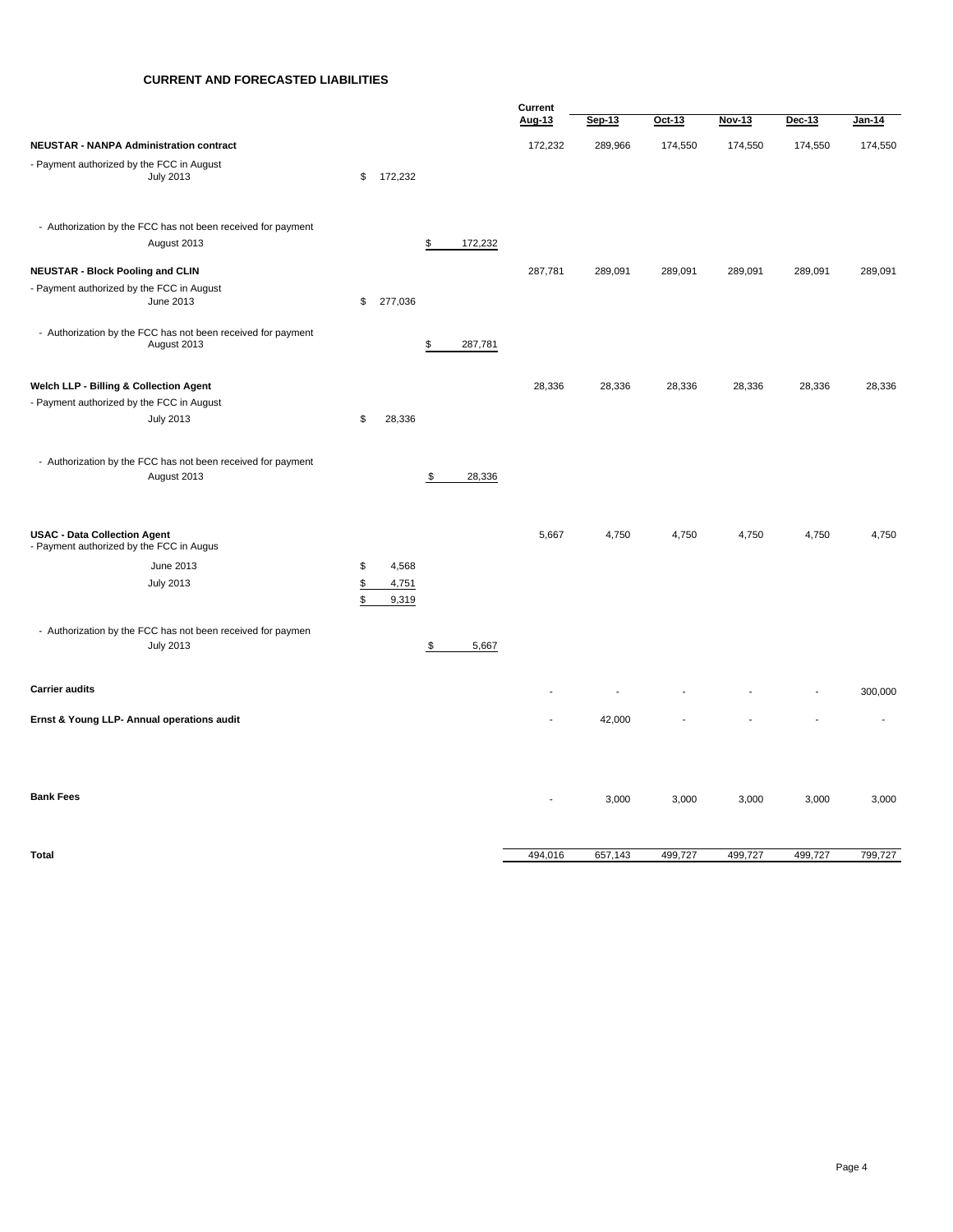#### **CURRENT AND FORECASTED LIABILITIES**

|                                                                                     |                            |               | Current |         |         |         |         |         |
|-------------------------------------------------------------------------------------|----------------------------|---------------|---------|---------|---------|---------|---------|---------|
|                                                                                     |                            |               | Aug-13  | Sep-13  | Oct-13  | Nov-13  | Dec-13  | Jan-14  |
| <b>NEUSTAR - NANPA Administration contract</b>                                      |                            |               | 172,232 | 289,966 | 174,550 | 174,550 | 174,550 | 174,550 |
| - Payment authorized by the FCC in August<br><b>July 2013</b>                       | 172,232<br>\$              |               |         |         |         |         |         |         |
| - Authorization by the FCC has not been received for payment<br>August 2013         |                            | \$<br>172,232 |         |         |         |         |         |         |
| <b>NEUSTAR - Block Pooling and CLIN</b>                                             |                            |               | 287,781 | 289,091 | 289,091 | 289,091 | 289,091 | 289,091 |
| - Payment authorized by the FCC in August<br>June 2013                              | 277,036<br>\$              |               |         |         |         |         |         |         |
| - Authorization by the FCC has not been received for payment<br>August 2013         |                            | \$<br>287,781 |         |         |         |         |         |         |
| Welch LLP - Billing & Collection Agent<br>- Payment authorized by the FCC in August |                            |               | 28,336  | 28,336  | 28,336  | 28,336  | 28,336  | 28,336  |
| <b>July 2013</b>                                                                    | \$<br>28,336               |               |         |         |         |         |         |         |
| - Authorization by the FCC has not been received for payment<br>August 2013         |                            | \$<br>28,336  |         |         |         |         |         |         |
| <b>USAC - Data Collection Agent</b><br>- Payment authorized by the FCC in Augus     |                            |               | 5,667   | 4,750   | 4,750   | 4,750   | 4,750   | 4,750   |
| June 2013                                                                           | \$<br>4,568                |               |         |         |         |         |         |         |
| <b>July 2013</b>                                                                    | \$<br>4,751<br>\$<br>9,319 |               |         |         |         |         |         |         |
| - Authorization by the FCC has not been received for paymen<br><b>July 2013</b>     |                            | \$<br>5,667   |         |         |         |         |         |         |
| <b>Carrier audits</b>                                                               |                            |               |         |         |         |         |         | 300,000 |
| Ernst & Young LLP- Annual operations audit                                          |                            |               |         | 42,000  |         |         |         |         |
|                                                                                     |                            |               |         |         |         |         |         |         |
| <b>Bank Fees</b>                                                                    |                            |               | ÷,      | 3,000   | 3,000   | 3,000   | 3,000   | 3,000   |
| <b>Total</b>                                                                        |                            |               | 494,016 | 657,143 | 499,727 | 499,727 | 499,727 | 799,727 |